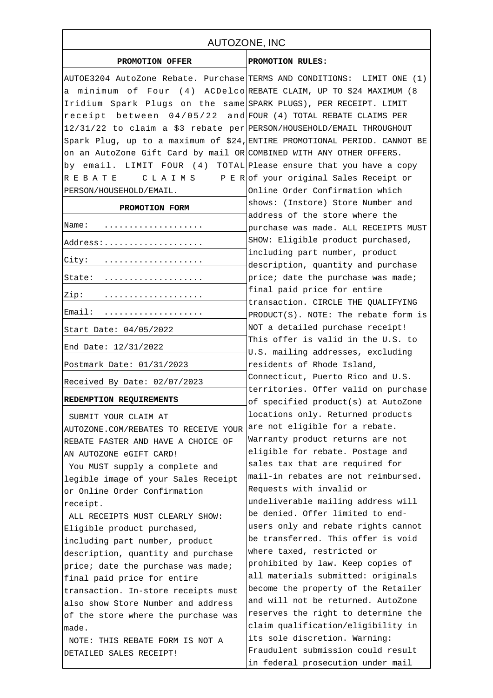| AUTOZONE, INC                                                             |                                                                         |
|---------------------------------------------------------------------------|-------------------------------------------------------------------------|
| PROMOTION OFFER                                                           | PROMOTION RULES:                                                        |
| AUTOE3204 AutoZone Rebate. Purchase TERMS AND CONDITIONS: LIMIT ONE (1)   |                                                                         |
| a minimum of Four (4) ACDelco REBATE CLAIM, UP TO \$24 MAXIMUM (8         |                                                                         |
| Iridium Spark Plugs on the same SPARK PLUGS), PER RECEIPT. LIMIT          |                                                                         |
| receipt between $04/05/22$ and FOUR (4) TOTAL REBATE CLAIMS PER           |                                                                         |
| 12/31/22 to claim a \$3 rebate per PERSON/HOUSEHOLD/EMAIL THROUGHOUT      |                                                                         |
| Spark Plug, up to a maximum of \$24, ENTIRE PROMOTIONAL PERIOD. CANNOT BE |                                                                         |
| on an AutoZone Gift Card by mail OR COMBINED WITH ANY OTHER OFFERS.       |                                                                         |
| by email. LIMIT FOUR (4) TOTAL Please ensure that you have a copy         |                                                                         |
| R E B A T E                                                               | C L A I M S P E R of your original Sales Receipt or                     |
| PERSON/HOUSEHOLD/EMAIL.                                                   | Online Order Confirmation which                                         |
| PROMOTION FORM                                                            | shows: (Instore) Store Number and                                       |
| Name:                                                                     | address of the store where the                                          |
|                                                                           | purchase was made. ALL RECEIPTS MUST                                    |
| Address:                                                                  | SHOW: Eligible product purchased,                                       |
| City:                                                                     | including part number, product                                          |
|                                                                           | description, quantity and purchase                                      |
| State:                                                                    | price; date the purchase was made;                                      |
| Zip:                                                                      | final paid price for entire<br>transaction. CIRCLE THE QUALIFYING       |
| Email:                                                                    | $PRODUCT(S)$ . NOTE: The rebate form is                                 |
| Start Date: 04/05/2022                                                    | NOT a detailed purchase receipt!                                        |
| End Date: 12/31/2022                                                      | This offer is valid in the U.S. to<br>U.S. mailing addresses, excluding |
| Postmark Date: 01/31/2023                                                 | residents of Rhode Island,                                              |
|                                                                           | Connecticut, Puerto Rico and U.S.                                       |
| Received By Date: 02/07/2023                                              | territories. Offer valid on purchase                                    |
| REDEMPTION REQUIREMENTS                                                   | of specified product(s) at AutoZone                                     |
| SUBMIT YOUR CLAIM AT                                                      | locations only. Returned products                                       |
| AUTOZONE.COM/REBATES TO RECEIVE YOUR                                      | are not eligible for a rebate.                                          |
| REBATE FASTER AND HAVE A CHOICE OF                                        | Warranty product returns are not                                        |
| AN AUTOZONE eGIFT CARD!                                                   | eligible for rebate. Postage and                                        |
| You MUST supply a complete and                                            | sales tax that are required for                                         |
| legible image of your Sales Receipt                                       | mail-in rebates are not reimbursed.                                     |
| or Online Order Confirmation                                              | Requests with invalid or                                                |
| receipt.                                                                  | undeliverable mailing address will                                      |
| ALL RECEIPTS MUST CLEARLY SHOW:                                           | be denied. Offer limited to end-                                        |
| Eligible product purchased,                                               | users only and rebate rights cannot                                     |
| including part number, product                                            | be transferred. This offer is void                                      |
| description, quantity and purchase                                        | where taxed, restricted or                                              |
| price; date the purchase was made;                                        | prohibited by law. Keep copies of                                       |
| final paid price for entire                                               | all materials submitted: originals                                      |
| transaction. In-store receipts must                                       | become the property of the Retailer                                     |
| also show Store Number and address                                        | and will not be returned. AutoZone                                      |
| of the store where the purchase was                                       | reserves the right to determine the                                     |
| made.                                                                     | claim qualification/eligibility in                                      |
| NOTE: THIS REBATE FORM IS NOT A                                           | its sole discretion. Warning:                                           |
| DETAILED SALES RECEIPT!                                                   | Fraudulent submission could result                                      |
|                                                                           | in federal prosecution under mail                                       |